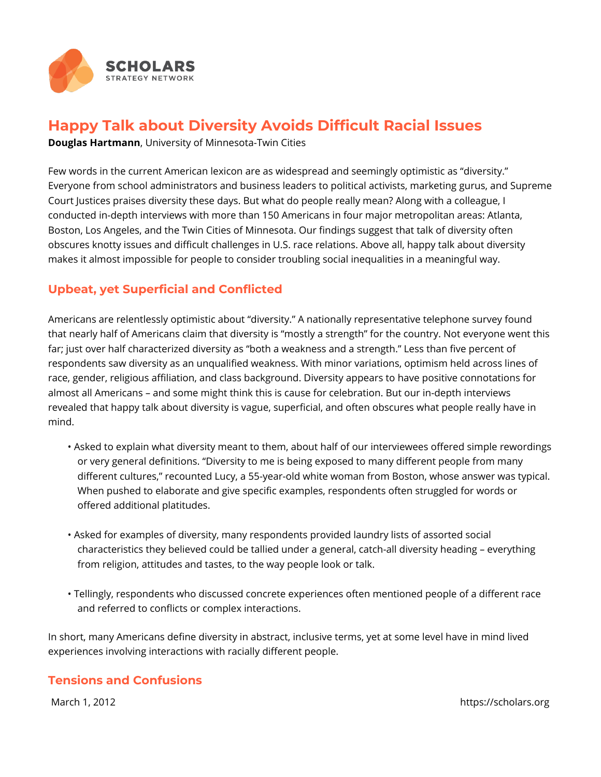

## **Happy Talk about Diversity Avoids Difficult Racial Issues**

**Douglas Hartmann**, University of Minnesota-Twin Cities

Few words in the current American lexicon are as widespread and seemingly optimistic as "diversity." Everyone from school administrators and business leaders to political activists, marketing gurus, and Supreme Court Justices praises diversity these days. But what do people really mean? Along with a colleague, I conducted in-depth interviews with more than 150 Americans in four major metropolitan areas: Atlanta, Boston, Los Angeles, and the Twin Cities of Minnesota. Our findings suggest that talk of diversity often obscures knotty issues and difficult challenges in U.S. race relations. Above all, happy talk about diversity makes it almost impossible for people to consider troubling social inequalities in a meaningful way.

## **Upbeat, yet Superficial and Conflicted**

Americans are relentlessly optimistic about "diversity." A nationally representative telephone survey found that nearly half of Americans claim that diversity is "mostly a strength" for the country. Not everyone went this far; just over half characterized diversity as "both a weakness and a strength." Less than five percent of respondents saw diversity as an unqualified weakness. With minor variations, optimism held across lines of race, gender, religious affiliation, and class background. Diversity appears to have positive connotations for almost all Americans – and some might think this is cause for celebration. But our in-depth interviews revealed that happy talk about diversity is vague, superficial, and often obscures what people really have in mind.

- Asked to explain what diversity meant to them, about half of our interviewees offered simple rewordings or very general definitions. "Diversity to me is being exposed to many different people from many different cultures," recounted Lucy, a 55-year-old white woman from Boston, whose answer was typical. When pushed to elaborate and give specific examples, respondents often struggled for words or offered additional platitudes.
- Asked for examples of diversity, many respondents provided laundry lists of assorted social characteristics they believed could be tallied under a general, catch-all diversity heading – everything from religion, attitudes and tastes, to the way people look or talk.
- Tellingly, respondents who discussed concrete experiences often mentioned people of a different race and referred to conflicts or complex interactions.

In short, many Americans define diversity in abstract, inclusive terms, yet at some level have in mind lived experiences involving interactions with racially different people.

## **Tensions and Confusions**